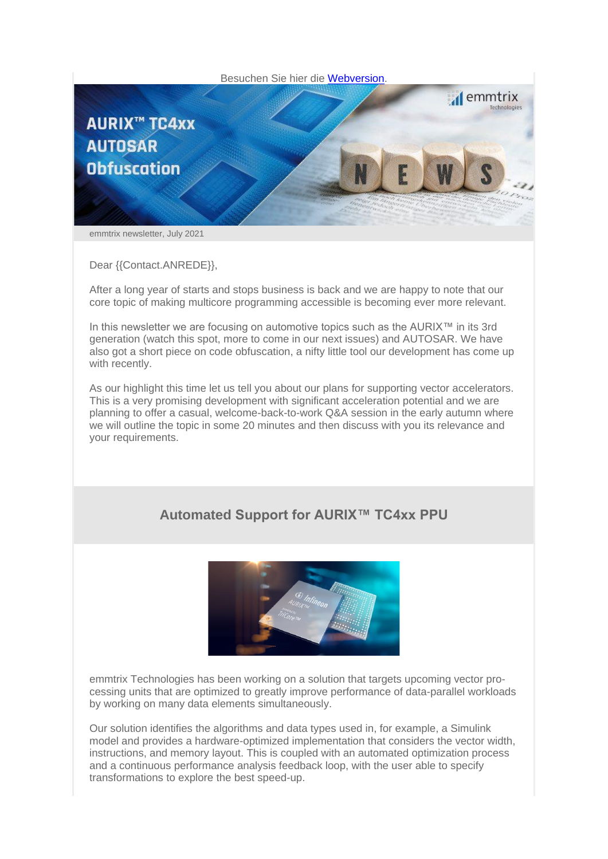

emmtrix newsletter, July 2021

Dear {{Contact.ANREDE}},

After a long year of starts and stops business is back and we are happy to note that our core topic of making multicore programming accessible is becoming ever more relevant.

In this newsletter we are focusing on automotive topics such as the AURIX™ in its 3rd generation (watch this spot, more to come in our next issues) and AUTOSAR. We have also got a short piece on code obfuscation, a nifty little tool our development has come up with recently.

As our highlight this time let us tell you about our plans for supporting vector accelerators. This is a very promising development with significant acceleration potential and we are planning to offer a casual, welcome-back-to-work Q&A session in the early autumn where we will outline the topic in some 20 minutes and then discuss with you its relevance and your requirements.

## **Automated Support for AURIX™ TC4xx PPU**



emmtrix Technologies has been working on a solution that targets upcoming vector processing units that are optimized to greatly improve performance of data-parallel workloads by working on many data elements simultaneously.

Our solution identifies the algorithms and data types used in, for example, a Simulink model and provides a hardware-optimized implementation that considers the vector width, instructions, and memory layout. This is coupled with an automated optimization process and a continuous performance analysis feedback loop, with the user able to specify transformations to explore the best speed-up.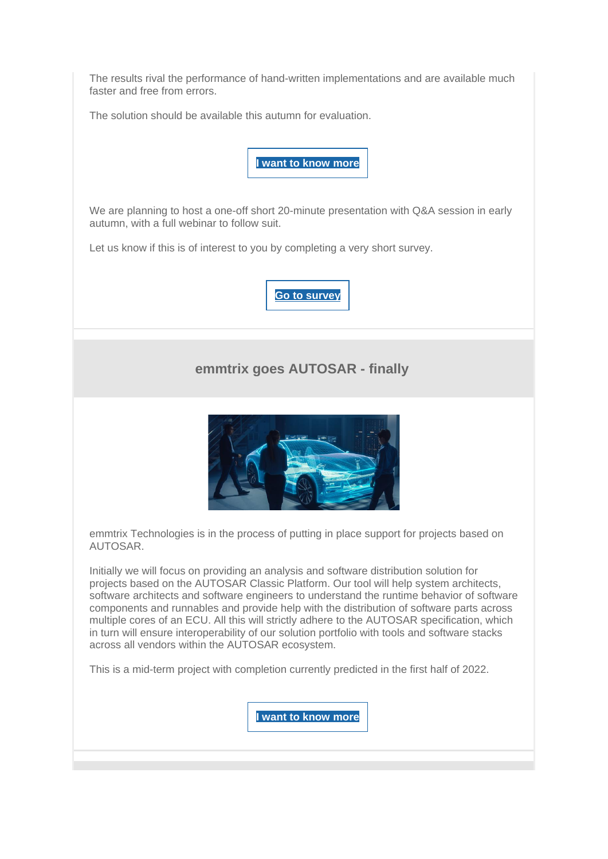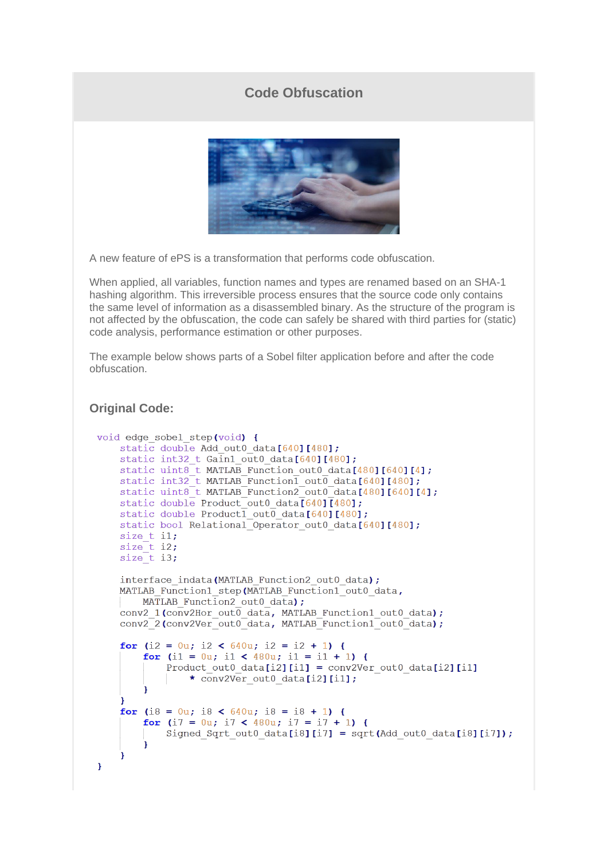## **Code Obfuscation**



A new feature of ePS is a transformation that performs code obfuscation.

When applied, all variables, function names and types are renamed based on an SHA-1 hashing algorithm. This irreversible process ensures that the source code only contains the same level of information as a disassembled binary. As the structure of the program is not affected by the obfuscation, the code can safely be shared with third parties for (static) code analysis, performance estimation or other purposes.

The example below shows parts of a Sobel filter application before and after the code obfuscation.

## **Original Code:**

```
void edge sobel step(void) {
static double Add out0 data[640][480];
static int32_t Gain1_out0_data[640][480];
static uint8_t MATLAB_Function_out0_data[480][640][4];
static int32<sup>t</sup> MATLAB<sup>-</sup>Function<sup>1</sup> out<sup>0</sup> data[640][480];<br>static uint8<sup>t</sup> MATLAB_Function2_out0_data[480][640][4];
static double Product out 0 data \sqrt{640} \sqrt{480};
static double Product1 out0 data[640][480];
static bool Relational Operator out0 data[640][480];
size t il;
size t i2;
size t i3;
interface indata (MATLAB Function2 out0 data);
MATLAB Function1 step (MATLAB Function1 out0 data,
     MATLAB Function2 out0 data);
 conv2_1(conv2Hor_out0_data, MATLAB_Function1_out0_data);
 conv2_2(conv2Ver_out0_data, MATLAB_Function1_out0_data);
 for (i2 = 0u; i2 < 640u; i2 = i2 + 1) {
     for (i1 = 0u; i1 < 480u; i1 = i1 + 1) {
          Product out0 data[i2][i1] = conv2Ver out0 data[i2][i1]
               * conv2Ver out0 data[i2][i1];
 for (i8 = 0u; i8 < 640u; i8 = i8 + 1) {
     for (i7 = 0u; i7 < 480u; i7 = i7 + 1) {
          Signed Sqrt out0 data[i8][i7] = sqrt(Add out0 data[i8][i7]);
     \mathbf{1}\overline{\mathbf{1}}\mathcal{Y}
```